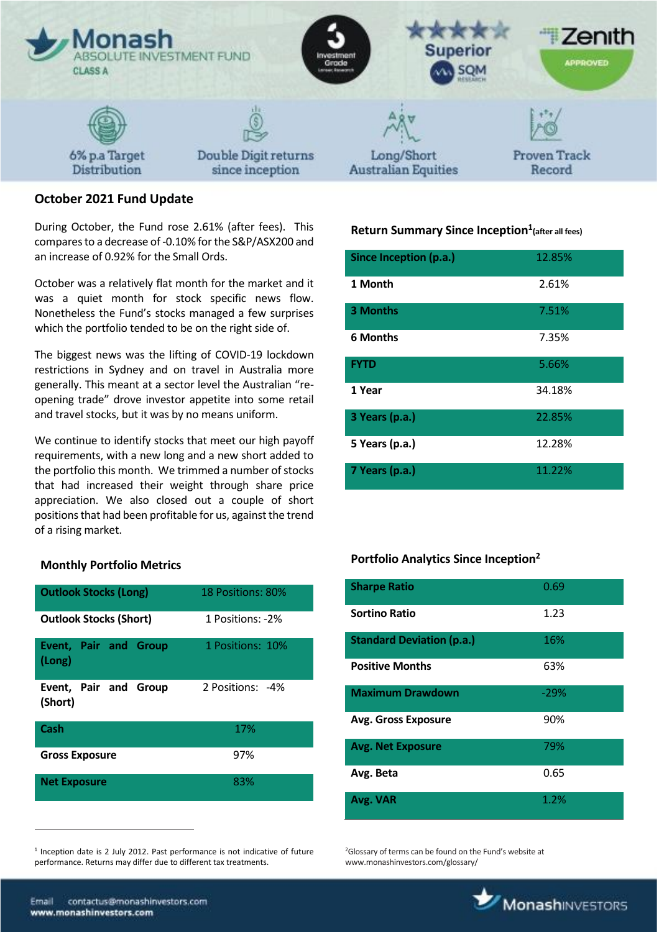

# **October 2021 Fund Update**

During October, the Fund rose 2.61% (after fees). This compares to a decrease of -0.10% for the S&P/ASX200 and an increase of 0.92% for the Small Ords.

October was a relatively flat month for the market and it was a quiet month for stock specific news flow. Nonetheless the Fund's stocks managed a few surprises which the portfolio tended to be on the right side of.

The biggest news was the lifting of COVID-19 lockdown restrictions in Sydney and on travel in Australia more generally. This meant at a sector level the Australian "reopening trade" drove investor appetite into some retail and travel stocks, but it was by no means uniform.

We continue to identify stocks that meet our high payoff requirements, with a new long and a new short added to the portfolio this month. We trimmed a number of stocks that had increased their weight through share price appreciation. We also closed out a couple of short positions that had been profitable for us, against the trend of a rising market.

### **Monthly Portfolio Metrics**

| <b>Outlook Stocks (Long)</b>           | 18 Positions: 80% |
|----------------------------------------|-------------------|
| <b>Outlook Stocks (Short)</b>          | 1 Positions: -2%  |
| <b>Event, Pair and Group</b><br>(Long) | 1 Positions: 10%  |
| Event, Pair and Group<br>(Short)       | 2 Positions: -4%  |
| Cash                                   | 17%               |
| <b>Gross Exposure</b>                  | 97%               |
| <b>Net Exposure</b>                    | 83%               |

<sup>1</sup> Inception date is 2 July 2012. Past performance is not indicative of future performance. Returns may differ due to different tax treatments.

## **Return Summary Since Inception<sup>1</sup> (after all fees)**

| Since Inception (p.a.) | 12.85% |
|------------------------|--------|
| 1 Month                | 2.61%  |
| 3 Months               | 7.51%  |
| <b>6 Months</b>        | 7.35%  |
| <b>FYTD</b>            | 5.66%  |
| 1 Year                 | 34.18% |
| 3 Years (p.a.)         | 22.85% |
| 5 Years (p.a.)         | 12.28% |
| 7 Years (p.a.)         | 11.22% |

## **Portfolio Analytics Since Inception<sup>2</sup>**

| <b>Sharpe Ratio</b>              | 0.69   |
|----------------------------------|--------|
| <b>Sortino Ratio</b>             | 1.23   |
| <b>Standard Deviation (p.a.)</b> | 16%    |
| <b>Positive Months</b>           | 63%    |
| <b>Maximum Drawdown</b>          | $-29%$ |
| <b>Avg. Gross Exposure</b>       | 90%    |
| <b>Avg. Net Exposure</b>         | 79%    |
| Avg. Beta                        | 0.65   |
| Avg. VAR                         | 1.2%   |

<sup>2</sup>Glossary of terms can be found on the Fund's website at www.monashinvestors.com/glossary/

 $\overline{a}$ 

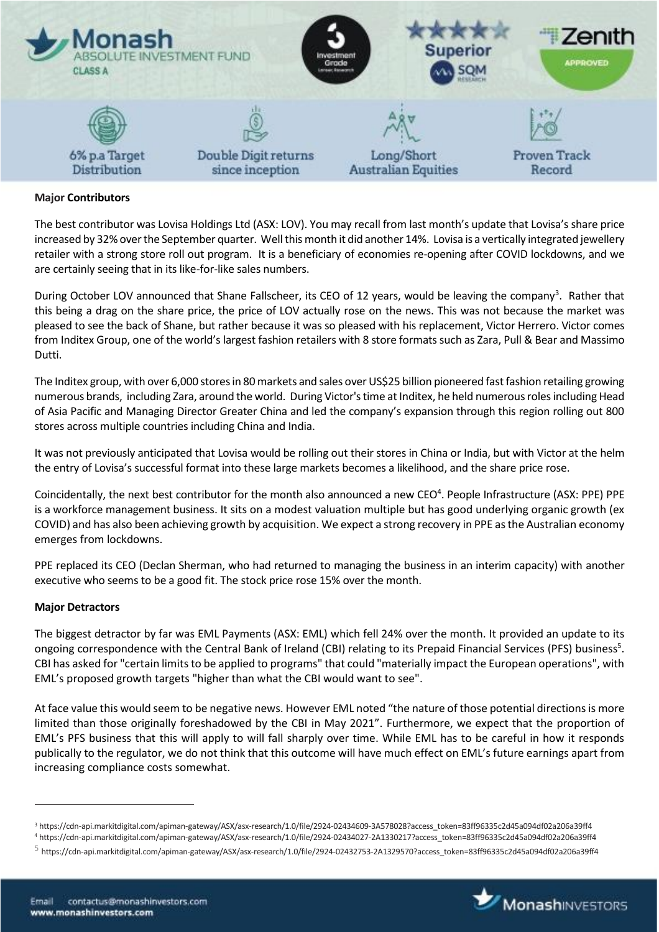

### **Major Contributors**

The best contributor was Lovisa Holdings Ltd (ASX: LOV). You may recall from last month's update that Lovisa's share price increased by 32% over the September quarter. Well this month it did another 14%. Lovisa is a vertically integrated jewellery retailer with a strong store roll out program. It is a beneficiary of economies re-opening after COVID lockdowns, and we are certainly seeing that in its like-for-like sales numbers.

During October LOV announced that Shane Fallscheer, its CEO of 12 years, would be leaving the company<sup>3</sup>. Rather that this being a drag on the share price, the price of LOV actually rose on the news. This was not because the market was pleased to see the back of Shane, but rather because it was so pleased with his replacement, Victor Herrero. Victor comes from Inditex Group, one of the world's largest fashion retailers with 8 store formats such as Zara, Pull & Bear and Massimo Dutti.

The Inditex group, with over 6,000 stores in 80 markets and sales over US\$25 billion pioneered fast fashion retailing growing numerous brands, including Zara, around the world. During Victor's time at Inditex, he held numerous roles including Head of Asia Pacific and Managing Director Greater China and led the company's expansion through this region rolling out 800 stores across multiple countries including China and India.

It was not previously anticipated that Lovisa would be rolling out their stores in China or India, but with Victor at the helm the entry of Lovisa's successful format into these large markets becomes a likelihood, and the share price rose.

Coincidentally, the next best contributor for the month also announced a new CEO<sup>4</sup>. People Infrastructure (ASX: PPE) PPE is a workforce management business. It sits on a modest valuation multiple but has good underlying organic growth (ex COVID) and has also been achieving growth by acquisition. We expect a strong recovery in PPE as the Australian economy emerges from lockdowns.

PPE replaced its CEO (Declan Sherman, who had returned to managing the business in an interim capacity) with another executive who seems to be a good fit. The stock price rose 15% over the month.

### **Major Detractors**

 $\overline{a}$ 

The biggest detractor by far was EML Payments (ASX: EML) which fell 24% over the month. It provided an update to its ongoing correspondence with the Central Bank of Ireland (CBI) relating to its Prepaid Financial Services (PFS) business<sup>5</sup>. CBI has asked for "certain limits to be applied to programs" that could "materially impact the European operations", with EML's proposed growth targets "higher than what the CBI would want to see".

At face value this would seem to be negative news. However EML noted "the nature of those potential directions is more limited than those originally foreshadowed by the CBI in May 2021". Furthermore, we expect that the proportion of EML's PFS business that this will apply to will fall sharply over time. While EML has to be careful in how it responds publically to the regulator, we do not think that this outcome will have much effect on EML's future earnings apart from increasing compliance costs somewhat.



<sup>3</sup> https://cdn-api.markitdigital.com/apiman-gateway/ASX/asx-research/1.0/file/2924-02434609-3A578028?access\_token=83ff96335c2d45a094df02a206a39ff4

<sup>4</sup> https://cdn-api.markitdigital.com/apiman-gateway/ASX/asx-research/1.0/file/2924-02434027-2A1330217?access\_token=83ff96335c2d45a094df02a206a39ff4

 $^5$  https://cdn-api.markitdigital.com/apiman-gateway/ASX/asx-research/1.0/file/2924-02432753-2A1329570?access\_token=83ff96335c2d45a094df02a206a39ff4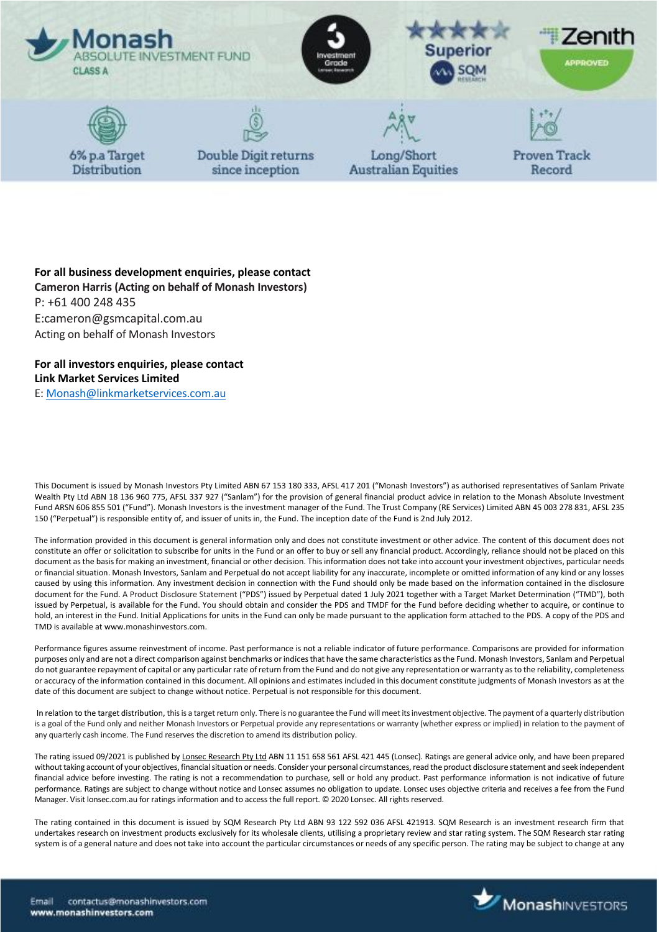

**For all business development enquiries, please contact Cameron Harris (Acting on behalf of Monash Investors)** P: +61 400 248 435 E:cameron@gsmcapital.com.au Acting on behalf of Monash Investors

**For all investors enquiries, please contact Link Market Services Limited**

E[: Monash@linkmarketservices.com.au](mailto:Monash@linkmarketservices.com.au)

This Document is issued by Monash Investors Pty Limited ABN 67 153 180 333, AFSL 417 201 ("Monash Investors") as authorised representatives of Sanlam Private Wealth Pty Ltd ABN 18 136 960 775, AFSL 337 927 ("Sanlam") for the provision of general financial product advice in relation to the Monash Absolute Investment Fund ARSN 606 855 501 ("Fund"). Monash Investors is the investment manager of the Fund. The Trust Company (RE Services) Limited ABN 45 003 278 831, AFSL 235 150 ("Perpetual") is responsible entity of, and issuer of units in, the Fund. The inception date of the Fund is 2nd July 2012.

The information provided in this document is general information only and does not constitute investment or other advice. The content of this document does not constitute an offer or solicitation to subscribe for units in the Fund or an offer to buy or sell any financial product. Accordingly, reliance should not be placed on this document as the basis for making an investment, financial or other decision. This information does not take into account your investment objectives, particular needs or financial situation. Monash Investors, Sanlam and Perpetual do not accept liability for any inaccurate, incomplete or omitted information of any kind or any losses caused by using this information. Any investment decision in connection with the Fund should only be made based on the information contained in the disclosure document for the Fund. A Product Disclosure Statement ("PDS") issued by Perpetual dated 1 July 2021 together with a Target Market Determination ("TMD"), both issued by Perpetual, is available for the Fund. You should obtain and consider the PDS and TMDF for the Fund before deciding whether to acquire, or continue to hold, an interest in the Fund. Initial Applications for units in the Fund can only be made pursuant to the application form attached to the PDS. A copy of the PDS and TMD is available at www.monashinvestors.com.

Performance figures assume reinvestment of income. Past performance is not a reliable indicator of future performance. Comparisons are provided for information purposes only and are not a direct comparison against benchmarks or indices that have the same characteristics as the Fund. Monash Investors, Sanlam and Perpetual do not guarantee repayment of capital or any particular rate of return from the Fund and do not give any representation or warranty as to the reliability, completeness or accuracy of the information contained in this document. All opinions and estimates included in this document constitute judgments of Monash Investors as at the date of this document are subject to change without notice. Perpetual is not responsible for this document.

In relation to the target distribution, this is a target return only. There is no guarantee the Fund will meet its investment objective. The payment of a quarterly distribution is a goal of the Fund only and neither Monash Investors or Perpetual provide any representations or warranty (whether express or implied) in relation to the payment of any quarterly cash income. The Fund reserves the discretion to amend its distribution policy.

The rating issued 09/2021 is published b[y Lonsec Research Pty Ltd](http://www.lonsec.com.au/) ABN 11 151 658 561 AFSL 421 445 (Lonsec). Ratings are general advice only, and have been prepared without taking account of your objectives, financial situation or needs. Consider your personal circumstances, read the product disclosure statement and seek independent financial advice before investing. The rating is not a recommendation to purchase, sell or hold any product. Past performance information is not indicative of future performance. Ratings are subject to change without notice and Lonsec assumes no obligation to update. Lonsec uses objective criteria and receives a fee from the Fund Manager. Visit lonsec.com.au for ratings information and to access the full report. © 2020 Lonsec. All rights reserved.

The rating contained in this document is issued by SQM Research Pty Ltd ABN 93 122 592 036 AFSL 421913. SQM Research is an investment research firm that undertakes research on investment products exclusively for its wholesale clients, utilising a proprietary review and star rating system. The SQM Research star rating system is of a general nature and does not take into account the particular circumstances or needs of any specific person. The rating may be subject to change at any